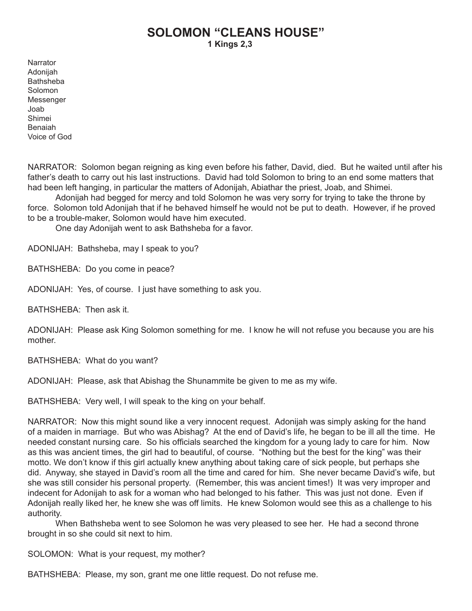## **SOLOMON "CLEANS HOUSE" 1 Kings 2,3**

**Narrator** Adonijah **Bathsheba** Solomon **Messenger** Joab Shimei Benaiah Voice of God

NARRATOR: Solomon began reigning as king even before his father, David, died. But he waited until after his father's death to carry out his last instructions. David had told Solomon to bring to an end some matters that had been left hanging, in particular the matters of Adonijah, Abiathar the priest, Joab, and Shimei.

Adonijah had begged for mercy and told Solomon he was very sorry for trying to take the throne by force. Solomon told Adonijah that if he behaved himself he would not be put to death. However, if he proved to be a trouble-maker, Solomon would have him executed.

One day Adonijah went to ask Bathsheba for a favor.

ADONIJAH: Bathsheba, may I speak to you?

BATHSHEBA: Do you come in peace?

ADONIJAH: Yes, of course. I just have something to ask you.

BATHSHEBA: Then ask it.

ADONIJAH: Please ask King Solomon something for me. I know he will not refuse you because you are his mother.

BATHSHEBA: What do you want?

ADONIJAH: Please, ask that Abishag the Shunammite be given to me as my wife.

BATHSHEBA: Very well, I will speak to the king on your behalf.

NARRATOR: Now this might sound like a very innocent request. Adonijah was simply asking for the hand of a maiden in marriage. But who was Abishag? At the end of David's life, he began to be ill all the time. He needed constant nursing care. So his officials searched the kingdom for a young lady to care for him. Now as this was ancient times, the girl had to beautiful, of course. "Nothing but the best for the king" was their motto. We don't know if this girl actually knew anything about taking care of sick people, but perhaps she did. Anyway, she stayed in David's room all the time and cared for him. She never became David's wife, but she was still consider his personal property. (Remember, this was ancient times!) It was very improper and indecent for Adonijah to ask for a woman who had belonged to his father. This was just not done. Even if Adonijah really liked her, he knew she was off limits. He knew Solomon would see this as a challenge to his authority.

When Bathsheba went to see Solomon he was very pleased to see her. He had a second throne brought in so she could sit next to him.

SOLOMON: What is your request, my mother?

BATHSHEBA: Please, my son, grant me one little request. Do not refuse me.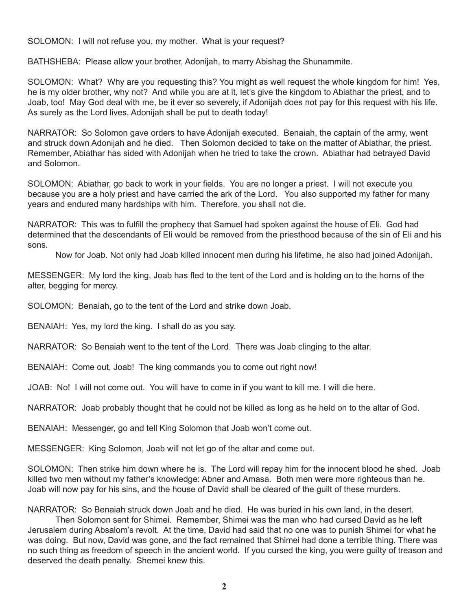SOLOMON: I will not refuse you, my mother. What is your request?

BATHSHEBA: Please allow your brother, Adonijah, to marry Abishag the Shunammite.

SOLOMON: What? Why are you requesting this? You might as well request the whole kingdom for him! Yes, he is my older brother, why not? And while you are at it, let's give the kingdom to Abiathar the priest, and to Joab, too! May God deal with me, be it ever so severely, if Adonijah does not pay for this request with his life. As surely as the Lord lives, Adonijah shall be put to death today!

NARRATOR: So Solomon gave orders to have Adonijah executed. Benaiah, the captain of the army, went and struck down Adonijah and he died. Then Solomon decided to take on the matter of Abiathar, the priest. Remember, Abiathar has sided with Adonijah when he tried to take the crown. Abiathar had betrayed David and Solomon.

SOLOMON: Abiathar, go back to work in your fields. You are no longer a priest. I will not execute you because you are a holy priest and have carried the ark of the Lord. You also supported my father for many years and endured many hardships with him. Therefore, you shall not die.

NARRATOR: This was to fulfill the prophecy that Samuel had spoken against the house of Eli. God had determined that the descendants of Eli would be removed from the priesthood because of the sin of Eli and his sons.

Now for Joab. Not only had Joab killed innocent men during his lifetime, he also had joined Adonijah.

MESSENGER: My lord the king, Joab has fled to the tent of the Lord and is holding on to the horns of the alter, begging for mercy.

SOLOMON: Benaiah, go to the tent of the Lord and strike down Joab.

BENAIAH: Yes, my lord the king. I shall do as you say.

NARRATOR: So Benaiah went to the tent of the Lord. There was Joab clinging to the altar.

BENAIAH: Come out, Joab! The king commands you to come out right now!

JOAB: No! I will not come out. You will have to come in if you want to kill me. I will die here.

NARRATOR: Joab probably thought that he could not be killed as long as he held on to the altar of God.

BENAIAH: Messenger, go and tell King Solomon that Joab won't come out.

MESSENGER: King Solomon, Joab will not let go of the altar and come out.

SOLOMON: Then strike him down where he is. The Lord will repay him for the innocent blood he shed. Joab killed two men without my father's knowledge: Abner and Amasa. Both men were more righteous than he. Joab will now pay for his sins, and the house of David shall be cleared of the guilt of these murders.

NARRATOR: So Benaiah struck down Joab and he died. He was buried in his own land, in the desert. Then Solomon sent for Shimei. Remember, Shimei was the man who had cursed David as he left Jerusalem during Absalom's revolt. At the time, David had said that no one was to punish Shimei for what he was doing. But now, David was gone, and the fact remained that Shimei had done a terrible thing. There was no such thing as freedom of speech in the ancient world. If you cursed the king, you were guilty of treason and deserved the death penalty. Shemei knew this.